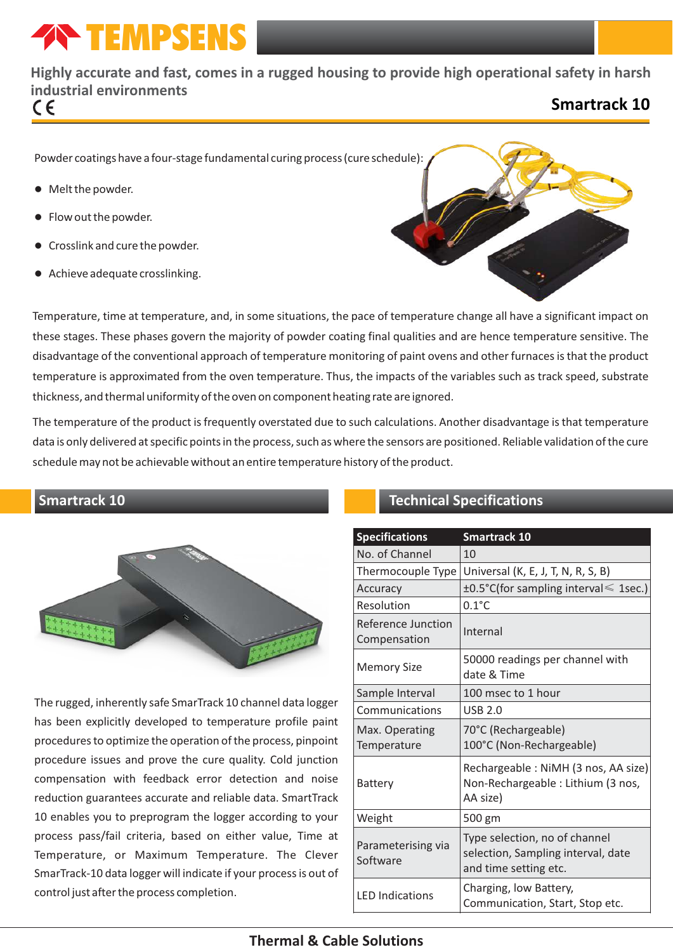# **TEMPSENS**

# **Highly accurate and fast, comes in a rugged housing to provide high operational safety in harsh industrial environments**

## **Smartrack 10**

Powder coatings have a four-stage fundamental curing process (cure schedule):

- Melt the powder.
- Flow out the powder.
- l Crosslink and cure the powder.
- **•** Achieve adequate crosslinking.



Temperature, time at temperature, and, in some situations, the pace of temperature change all have a significant impact on these stages. These phases govern the majority of powder coating final qualities and are hence temperature sensitive. The disadvantage of the conventional approach of temperature monitoring of paint ovens and other furnaces is that the product temperature is approximated from the oven temperature. Thus, the impacts of the variables such as track speed, substrate thickness, and thermal uniformity of the oven on component heating rate are ignored.

The temperature of the product is frequently overstated due to such calculations. Another disadvantage is that temperature data is only delivered at specific points in the process, such as where the sensors are positioned. Reliable validation of the cure schedule may not be achievable without an entire temperature history of the product.

#### **Smartrack 10**



The rugged, inherently safe SmarTrack 10 channel data logger has been explicitly developed to temperature profile paint procedures to optimize the operation of the process, pinpoint procedure issues and prove the cure quality. Cold junction compensation with feedback error detection and noise reduction guarantees accurate and reliable data. SmartTrack 10 enables you to preprogram the logger according to your process pass/fail criteria, based on either value, Time at Temperature, or Maximum Temperature. The Clever SmarTrack-10 data logger will indicate if your process is out of control just after the process completion.

### **Technical Specifications**

| <b>Specifications</b>              | <b>Smartrack 10</b>                                                                          |  |  |  |
|------------------------------------|----------------------------------------------------------------------------------------------|--|--|--|
| No. of Channel                     | 10                                                                                           |  |  |  |
| Thermocouple Type                  | Universal (K, E, J, T, N, R, S, B)                                                           |  |  |  |
| Accuracy                           | $\pm 0.5$ °C(for sampling interval $\leq 1$ sec.)                                            |  |  |  |
| Resolution                         | $0.1^{\circ}$ C                                                                              |  |  |  |
| Reference Junction<br>Compensation | Internal                                                                                     |  |  |  |
| <b>Memory Size</b>                 | 50000 readings per channel with<br>date & Time                                               |  |  |  |
| Sample Interval                    | 100 msec to 1 hour                                                                           |  |  |  |
| Communications                     | <b>USB 2.0</b>                                                                               |  |  |  |
| Max. Operating<br>Temperature      | 70°C (Rechargeable)<br>100°C (Non-Rechargeable)                                              |  |  |  |
| Battery                            | Rechargeable: NiMH (3 nos, AA size)<br>Non-Rechargeable : Lithium (3 nos,<br>AA size)        |  |  |  |
| Weight                             | 500 gm                                                                                       |  |  |  |
| Parameterising via<br>Software     | Type selection, no of channel<br>selection, Sampling interval, date<br>and time setting etc. |  |  |  |
| <b>LED Indications</b>             | Charging, low Battery,<br>Communication, Start, Stop etc.                                    |  |  |  |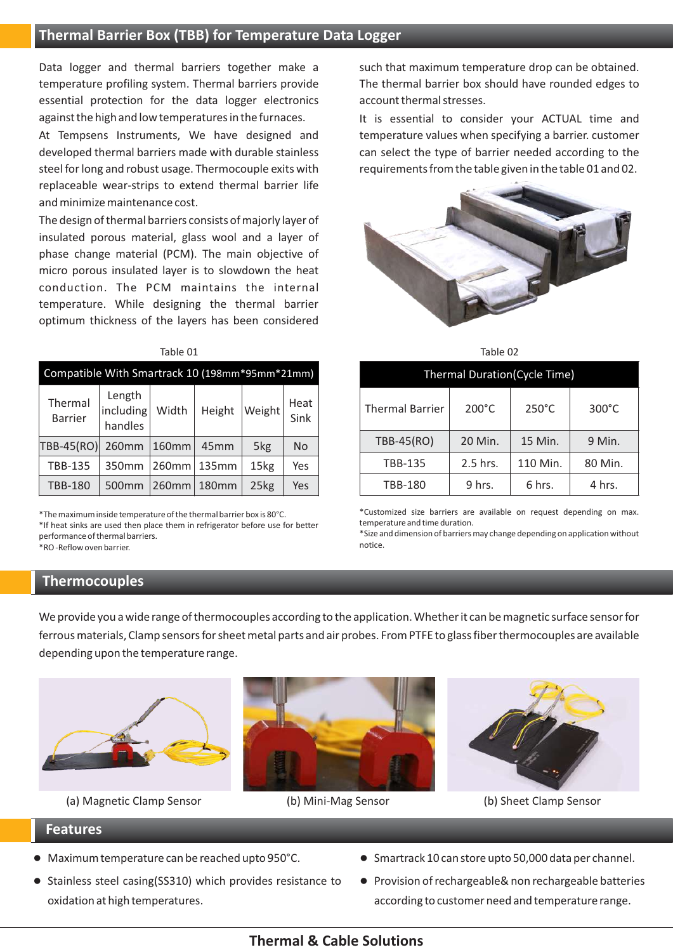Data logger and thermal barriers together make a such that maximum temperature drop can be obtained. essential protection for the data logger electronics account thermal stresses. against the high and low temperatures in the furnaces. It is essential to consider your ACTUAL time and

At Tempsens Instruments, We have designed and temperature values when specifying a barrier. customer developed thermal barriers made with durable stainless can select the type of barrier needed according to the steel for long and robust usage. Thermocouple exits with requirements from the table given in the table 01 and 02. replaceable wear-strips to extend thermal barrier life and minimize maintenance cost.

The design of thermal barriers consists of majorly layer of insulated porous material, glass wool and a layer of phase change material (PCM). The main objective of micro porous insulated layer is to slowdown the heat conduction. The PCM maintains the internal temperature. While designing the thermal barrier optimum thickness of the layers has been considered

#### Table 01 and the contract of the contract of the contract of the contract of the contract of the contract of the contract of the contract of the contract of the contract of the contract of the contract of the contract of t

| Compatible With Smartrack 10 (198mm*95mm*21mm) |                                |          |        |        |              |  |  |  |
|------------------------------------------------|--------------------------------|----------|--------|--------|--------------|--|--|--|
| Thermal<br><b>Barrier</b>                      | Length<br>including<br>handles | Width    | Height | Weight | Heat<br>Sink |  |  |  |
| <b>TBB-45(RO)</b>                              | 260mm                          | 160mm    | 45mm   | 5kg    | <b>No</b>    |  |  |  |
| <b>TBB-135</b>                                 | 350mm                          | $260$ mm | 135mm  | 15kg   | Yes          |  |  |  |
| <b>TBB-180</b>                                 | 500mm                          | 260mm    | 180mm  | 25kg   | Yes          |  |  |  |

\*The maximum inside temperature of the thermal barrier box is 80°C. \*If heat sinks are used then place them in refrigerator before use for better performance of thermal barriers. \*RO -Reflow oven barrier.

#### **Thermocouples**

temperature profiling system. Thermal barriers provide The thermal barrier box should have rounded edges to



| <b>Thermal Duration(Cycle Time)</b> |                 |                 |                 |  |  |  |
|-------------------------------------|-----------------|-----------------|-----------------|--|--|--|
| <b>Thermal Barrier</b>              | $200^{\circ}$ C | $250^{\circ}$ C | $300^{\circ}$ C |  |  |  |
| TBB-45(RO)                          | 20 Min.         | 15 Min.         | 9 Min.          |  |  |  |
| <b>TBB-135</b>                      | 2.5 hrs.        | 110 Min.        | 80 Min.         |  |  |  |
| <b>TBB-180</b>                      | 9 hrs.          | 6 hrs.          | 4 hrs.          |  |  |  |

\*Customized size barriers are available on request depending on max. temperature and time duration.

\*Size and dimension of barriers may change depending on application without notice.

We provide you a wide range of thermocouples according to the application. Whether it can be magnetic surface sensor for ferrous materials, Clamp sensors for sheet metal parts and air probes. From PTFE to glass fiber thermocouples are available depending upon the temperature range.







(a) Magnetic Clamp Sensor (b) Mini-Mag Sensor (b) Sheet Clamp Sensor

#### **Features**

- 
- Stainless steel casing(SS310) which provides resistance to Provision of rechargeable& non rechargeable batteries oxidation at high temperatures. according to customer need and temperature range.
- Maximum temperature can be reached upto 950°C. Smartrack 10 can store upto 50,000 data per channel.
	-